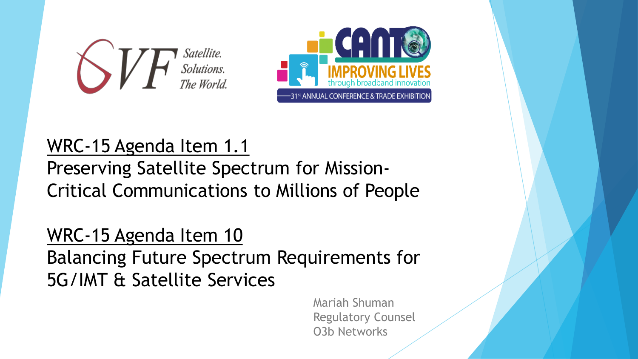



#### WRC-15 Agenda Item 1.1 Preserving Satellite Spectrum for Mission-Critical Communications to Millions of People

#### WRC-15 Agenda Item 10 Balancing Future Spectrum Requirements for 5G/IMT & Satellite Services

Mariah Shuman Regulatory Counsel O3b Networks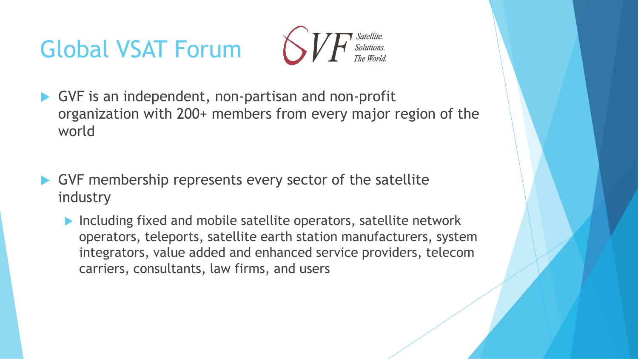# Global VSAT Forum



- GVF is an independent, non-partisan and non-profit organization with 200+ members from every major region of the world
- GVF membership represents every sector of the satellite industry
	- ▶ Including fixed and mobile satellite operators, satellite network operators, teleports, satellite earth station manufacturers, system integrators, value added and enhanced service providers, telecom carriers, consultants, law firms, and users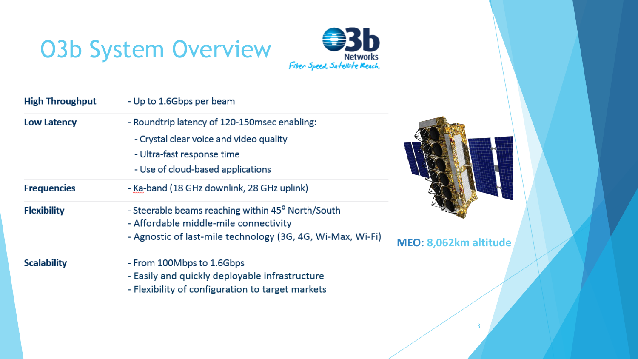# O3b System Overview Fiber Speed, Sartelli-te Reach,



| <b>High Throughput</b> | - Up to 1.6Gbps per beam                                                                                                                                    |                     |
|------------------------|-------------------------------------------------------------------------------------------------------------------------------------------------------------|---------------------|
| <b>Low Latency</b>     | - Roundtrip latency of 120-150 msec enabling:<br>- Crystal clear voice and video quality<br>- Ultra-fast response time<br>- Use of cloud-based applications |                     |
| <b>Frequencies</b>     | - Ka-band (18 GHz downlink, 28 GHz uplink)                                                                                                                  |                     |
| <b>Flexibility</b>     | - Steerable beams reaching within 45° North/South<br>- Affordable middle-mile connectivity<br>- Agnostic of last-mile technology (3G, 4G, Wi-Max, Wi-Fi)    | <b>MEO: 8,062km</b> |
| <b>Scalability</b>     | - From 100Mbps to 1.6Gbps<br>- Easily and quickly deployable infrastructure<br>- Flexibility of configuration to target markets                             |                     |



altitude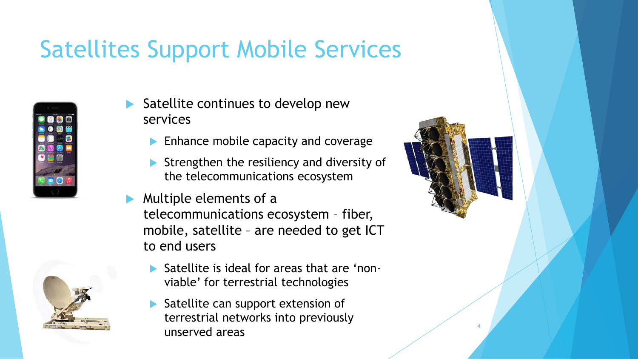## Satellites Support Mobile Services



- Satellite continues to develop new services
	- **Enhance mobile capacity and coverage**
	- Strengthen the resiliency and diversity of the telecommunications ecosystem
- Multiple elements of a telecommunications ecosystem – fiber, mobile, satellite – are needed to get ICT to end users
	- Satellite is ideal for areas that are "nonviable" for terrestrial technologies
	- Satellite can support extension of terrestrial networks into previously unserved areas



4

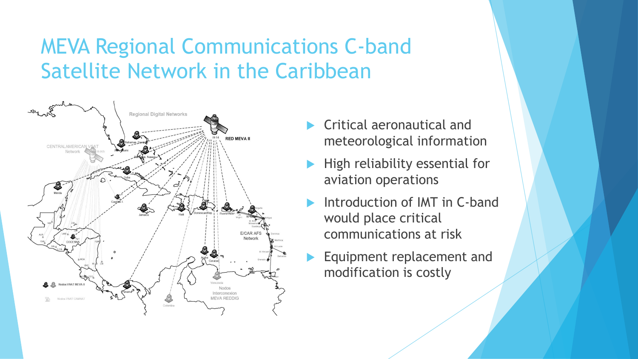#### MEVA Regional Communications C-band Satellite Network in the Caribbean



- Critical aeronautical and meteorological information
- High reliability essential for aviation operations
- Introduction of IMT in C-band would place critical communications at risk
	- Equipment replacement and modification is costly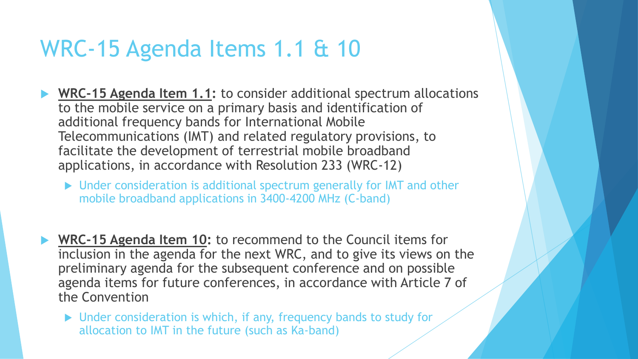#### WRC-15 Agenda Items 1.1 & 10

- ▶ WRC-15 Agenda Item 1.1: to consider additional spectrum allocations to the mobile service on a primary basis and identification of additional frequency bands for International Mobile Telecommunications (IMT) and related regulatory provisions, to facilitate the development of terrestrial mobile broadband applications, in accordance with Resolution 233 (WRC-12)
	- ▶ Under consideration is additional spectrum generally for IMT and other mobile broadband applications in 3400-4200 MHz (C-band)
- **WRC-15 Agenda Item 10:** to recommend to the Council items for inclusion in the agenda for the next WRC, and to give its views on the preliminary agenda for the subsequent conference and on possible agenda items for future conferences, in accordance with Article 7 of the Convention
	- ▶ Under consideration is which, if any, frequency bands to study for allocation to IMT in the future (such as Ka-band)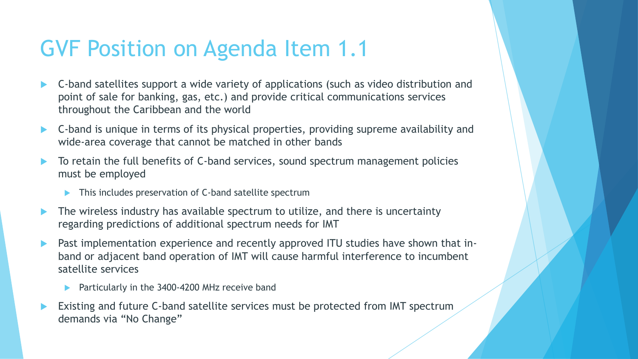## GVF Position on Agenda Item 1.1

- C-band satellites support a wide variety of applications (such as video distribution and point of sale for banking, gas, etc.) and provide critical communications services throughout the Caribbean and the world
- C-band is unique in terms of its physical properties, providing supreme availability and wide-area coverage that cannot be matched in other bands
- To retain the full benefits of C-band services, sound spectrum management policies must be employed
	- This includes preservation of C-band satellite spectrum
- The wireless industry has available spectrum to utilize, and there is uncertainty regarding predictions of additional spectrum needs for IMT
- Past implementation experience and recently approved ITU studies have shown that inband or adjacent band operation of IMT will cause harmful interference to incumbent satellite services
	- Particularly in the 3400-4200 MHz receive band
- Existing and future C-band satellite services must be protected from IMT spectrum demands via "No Change"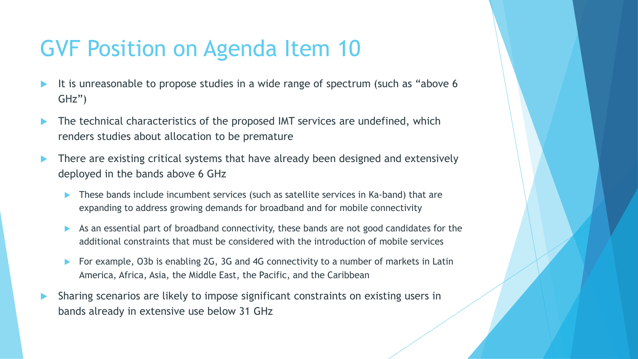## GVF Position on Agenda Item 10

- It is unreasonable to propose studies in a wide range of spectrum (such as "above 6 GHz")
- The technical characteristics of the proposed IMT services are undefined, which renders studies about allocation to be premature
- **There are existing critical systems that have already been designed and extensively** deployed in the bands above 6 GHz
	- These bands include incumbent services (such as satellite services in Ka-band) that are expanding to address growing demands for broadband and for mobile connectivity
	- As an essential part of broadband connectivity, these bands are not good candidates for the additional constraints that must be considered with the introduction of mobile services
	- ▶ For example, O3b is enabling 2G, 3G and 4G connectivity to a number of markets in Latin America, Africa, Asia, the Middle East, the Pacific, and the Caribbean
- Sharing scenarios are likely to impose significant constraints on existing users in bands already in extensive use below 31 GHz